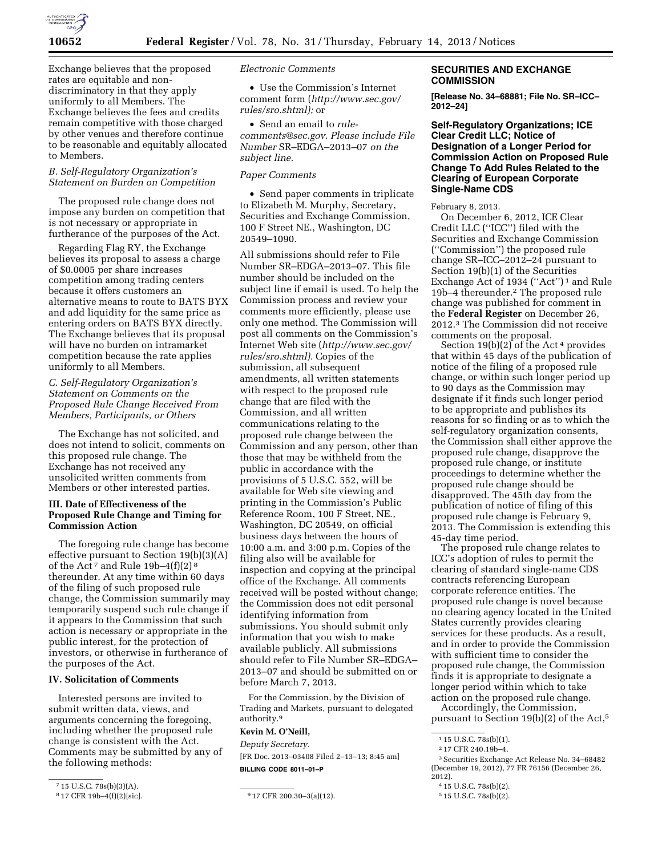

Exchange believes that the proposed rates are equitable and nondiscriminatory in that they apply uniformly to all Members. The Exchange believes the fees and credits remain competitive with those charged by other venues and therefore continue to be reasonable and equitably allocated to Members.

# *B. Self-Regulatory Organization's Statement on Burden on Competition*

The proposed rule change does not impose any burden on competition that is not necessary or appropriate in furtherance of the purposes of the Act.

Regarding Flag RY, the Exchange believes its proposal to assess a charge of \$0.0005 per share increases competition among trading centers because it offers customers an alternative means to route to BATS BYX and add liquidity for the same price as entering orders on BATS BYX directly. The Exchange believes that its proposal will have no burden on intramarket competition because the rate applies uniformly to all Members.

## *C. Self-Regulatory Organization's Statement on Comments on the Proposed Rule Change Received From Members, Participants, or Others*

The Exchange has not solicited, and does not intend to solicit, comments on this proposed rule change. The Exchange has not received any unsolicited written comments from Members or other interested parties.

## **III. Date of Effectiveness of the Proposed Rule Change and Timing for Commission Action**

The foregoing rule change has become effective pursuant to Section 19(b)(3)(A) of the Act<sup>7</sup> and Rule  $19b-4(f)(2)^8$ thereunder. At any time within 60 days of the filing of such proposed rule change, the Commission summarily may temporarily suspend such rule change if it appears to the Commission that such action is necessary or appropriate in the public interest, for the protection of investors, or otherwise in furtherance of the purposes of the Act.

# **IV. Solicitation of Comments**

Interested persons are invited to submit written data, views, and arguments concerning the foregoing, including whether the proposed rule change is consistent with the Act. Comments may be submitted by any of the following methods:

*Electronic Comments* 

• Use the Commission's Internet comment form (*[http://www.sec.gov/](http://www.sec.gov/rules/sro.shtml)  [rules/sro.shtml\);](http://www.sec.gov/rules/sro.shtml)* or

• Send an email to *[rule](mailto:rule-comments@sec.gov)[comments@sec.gov.](mailto:rule-comments@sec.gov) Please include File Number* SR–EDGA–2013–07 *on the subject line.* 

#### *Paper Comments*

• Send paper comments in triplicate to Elizabeth M. Murphy, Secretary, Securities and Exchange Commission, 100 F Street NE., Washington, DC 20549–1090.

All submissions should refer to File Number SR–EDGA–2013–07. This file number should be included on the subject line if email is used. To help the Commission process and review your comments more efficiently, please use only one method. The Commission will post all comments on the Commission's Internet Web site (*[http://www.sec.gov/](http://www.sec.gov/rules/sro.shtml)  [rules/sro.shtml\).](http://www.sec.gov/rules/sro.shtml)* Copies of the submission, all subsequent amendments, all written statements with respect to the proposed rule change that are filed with the Commission, and all written communications relating to the proposed rule change between the Commission and any person, other than those that may be withheld from the public in accordance with the provisions of 5 U.S.C. 552, will be available for Web site viewing and printing in the Commission's Public Reference Room, 100 F Street, NE., Washington, DC 20549, on official business days between the hours of 10:00 a.m. and 3:00 p.m. Copies of the filing also will be available for inspection and copying at the principal office of the Exchange. All comments received will be posted without change; the Commission does not edit personal identifying information from submissions. You should submit only information that you wish to make available publicly. All submissions should refer to File Number SR–EDGA– 2013–07 and should be submitted on or before March 7, 2013.

For the Commission, by the Division of Trading and Markets, pursuant to delegated authority.9

# **Kevin M. O'Neill,**

*Deputy Secretary.*  [FR Doc. 2013–03408 Filed 2–13–13; 8:45 am] **BILLING CODE 8011–01–P** 

### **SECURITIES AND EXCHANGE COMMISSION**

**[Release No. 34–68881; File No. SR–ICC– 2012–24]** 

**Self-Regulatory Organizations; ICE Clear Credit LLC; Notice of Designation of a Longer Period for Commission Action on Proposed Rule Change To Add Rules Related to the Clearing of European Corporate Single-Name CDS** 

February 8, 2013.

On December 6, 2012, ICE Clear Credit LLC (''ICC'') filed with the Securities and Exchange Commission (''Commission'') the proposed rule change SR–ICC–2012–24 pursuant to Section 19(b)(1) of the Securities Exchange Act of 1934 ("Act")<sup>1</sup> and Rule 19b–4 thereunder.2 The proposed rule change was published for comment in the **Federal Register** on December 26, 2012.3 The Commission did not receive comments on the proposal.

Section  $19(b)(2)$  of the Act<sup>4</sup> provides that within 45 days of the publication of notice of the filing of a proposed rule change, or within such longer period up to 90 days as the Commission may designate if it finds such longer period to be appropriate and publishes its reasons for so finding or as to which the self-regulatory organization consents, the Commission shall either approve the proposed rule change, disapprove the proposed rule change, or institute proceedings to determine whether the proposed rule change should be disapproved. The 45th day from the publication of notice of filing of this proposed rule change is February 9, 2013. The Commission is extending this 45-day time period.

The proposed rule change relates to ICC's adoption of rules to permit the clearing of standard single-name CDS contracts referencing European corporate reference entities. The proposed rule change is novel because no clearing agency located in the United States currently provides clearing services for these products. As a result, and in order to provide the Commission with sufficient time to consider the proposed rule change, the Commission finds it is appropriate to designate a longer period within which to take action on the proposed rule change.

Accordingly, the Commission, pursuant to Section 19(b)(2) of the Act,5

<sup>&</sup>lt;sup>7</sup> 15 U.S.C. 78s(b)(3)(A).<br><sup>8</sup> 17 CFR 19b-4(f)(2)[sic].

 $917$  CFR 200.30–3(a)(12).

<sup>&</sup>lt;sup>1</sup> 15 U.S.C. 78s(b)(1).

<sup>2</sup> 17 CFR 240.19b–4.

<sup>3</sup>Securities Exchange Act Release No. 34–68482 (December 19, 2012), 77 FR 76156 (December 26, 2012).

<sup>4</sup> 15 U.S.C. 78s(b)(2).

<sup>5</sup> 15 U.S.C. 78s(b)(2).